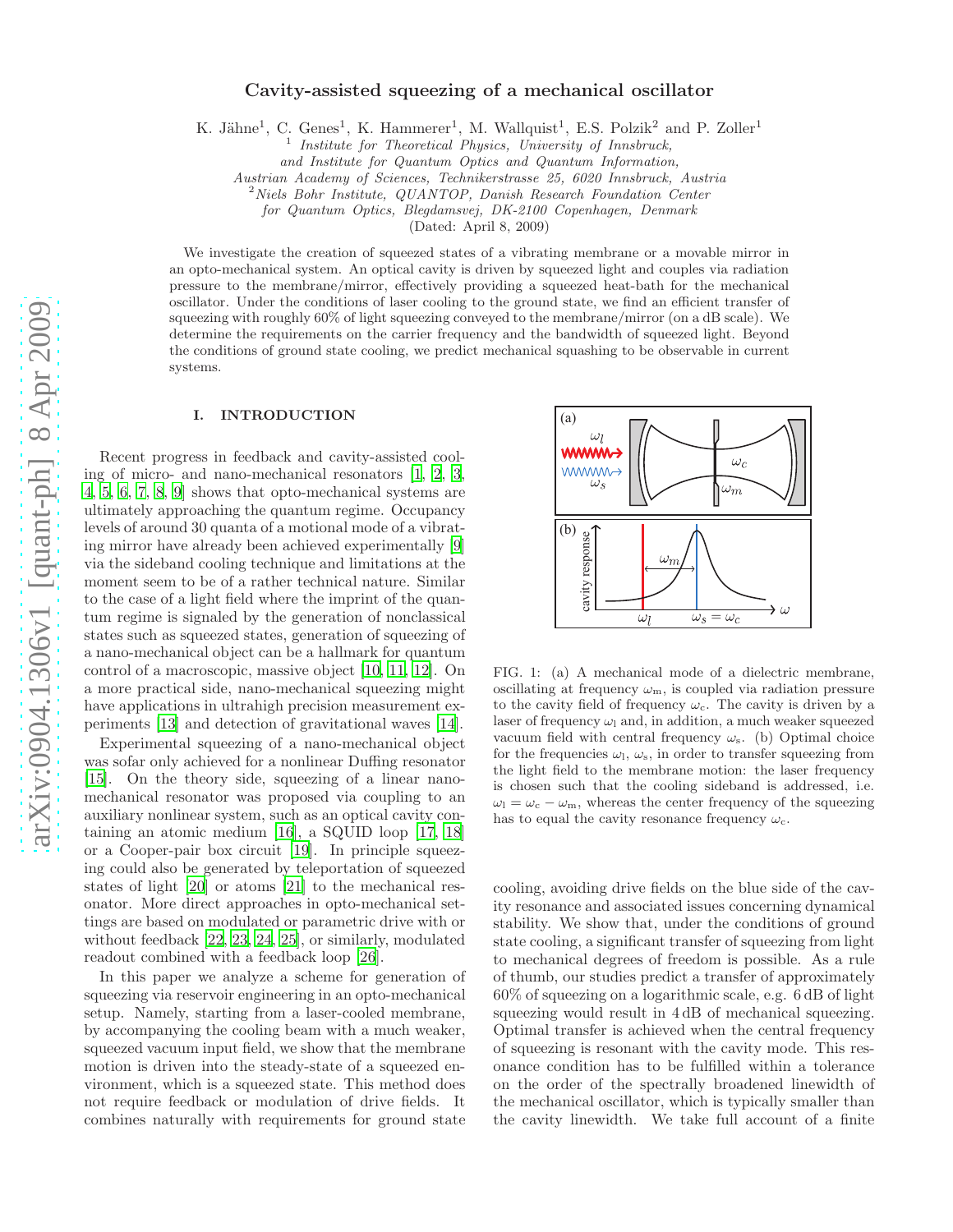# Cavity-assisted squeezing of a mechanical oscillator

K. Jähne<sup>1</sup>, C. Genes<sup>1</sup>, K. Hammerer<sup>1</sup>, M. Wallquist<sup>1</sup>, E.S. Polzik<sup>2</sup> and P. Zoller<sup>1</sup>

1 Institute for Theoretical Physics, University of Innsbruck,

and Institute for Quantum Optics and Quantum Information,

Austrian Academy of Sciences, Technikerstrasse 25, 6020 Innsbruck, Austria

<sup>2</sup>Niels Bohr Institute, QUANTOP, Danish Research Foundation Center

for Quantum Optics, Blegdamsvej, DK-2100 Copenhagen, Denmark

(Dated: April 8, 2009)

We investigate the creation of squeezed states of a vibrating membrane or a movable mirror in an opto-mechanical system. An optical cavity is driven by squeezed light and couples via radiation pressure to the membrane/mirror, effectively providing a squeezed heat-bath for the mechanical oscillator. Under the conditions of laser cooling to the ground state, we find an efficient transfer of squeezing with roughly 60% of light squeezing conveyed to the membrane/mirror (on a dB scale). We determine the requirements on the carrier frequency and the bandwidth of squeezed light. Beyond the conditions of ground state cooling, we predict mechanical squashing to be observable in current systems.

### I. INTRODUCTION

Recent progress in feedback and cavity-assisted cooling of micro- and nano-mechanical resonators [\[1,](#page-6-0) [2,](#page-6-1) [3](#page-6-2), [4](#page-6-3), [5,](#page-6-4) [6](#page-6-5), [7,](#page-6-6) [8](#page-6-7), [9\]](#page-6-8) shows that opto-mechanical systems are ultimately approaching the quantum regime. Occupancy levels of around 30 quanta of a motional mode of a vibrating mirror have already been achieved experimentally [\[9](#page-6-8)] via the sideband cooling technique and limitations at the moment seem to be of a rather technical nature. Similar to the case of a light field where the imprint of the quantum regime is signaled by the generation of nonclassical states such as squeezed states, generation of squeezing of a nano-mechanical object can be a hallmark for quantum control of a macroscopic, massive object [\[10](#page-6-9), [11](#page-6-10), [12\]](#page-6-11). On a more practical side, nano-mechanical squeezing might have applications in ultrahigh precision measurement experiments [\[13\]](#page-6-12) and detection of gravitational waves [\[14\]](#page-6-13).

Experimental squeezing of a nano-mechanical object was sofar only achieved for a nonlinear Duffing resonator [\[15\]](#page-6-14). On the theory side, squeezing of a linear nanomechanical resonator was proposed via coupling to an auxiliary nonlinear system, such as an optical cavity containing an atomic medium [\[16\]](#page-6-15), a SQUID loop [\[17](#page-6-16), [18](#page-6-17)] or a Cooper-pair box circuit [\[19\]](#page-6-18). In principle squeezing could also be generated by teleportation of squeezed states of light [\[20\]](#page-6-19) or atoms [\[21](#page-6-20)] to the mechanical resonator. More direct approaches in opto-mechanical settings are based on modulated or parametric drive with or without feedback [\[22,](#page-6-21) [23](#page-6-22), [24,](#page-6-23) [25\]](#page-6-24), or similarly, modulated readout combined with a feedback loop [\[26](#page-6-25)].

In this paper we analyze a scheme for generation of squeezing via reservoir engineering in an opto-mechanical setup. Namely, starting from a laser-cooled membrane, by accompanying the cooling beam with a much weaker, squeezed vacuum input field, we show that the membrane motion is driven into the steady-state of a squeezed environment, which is a squeezed state. This method does not require feedback or modulation of drive fields. It combines naturally with requirements for ground state



<span id="page-0-0"></span>FIG. 1: (a) A mechanical mode of a dielectric membrane, oscillating at frequency  $\omega_{\rm m}$ , is coupled via radiation pressure to the cavity field of frequency  $\omega_c$ . The cavity is driven by a laser of frequency  $\omega_1$  and, in addition, a much weaker squeezed vacuum field with central frequency  $\omega_{s}$ . (b) Optimal choice for the frequencies  $\omega_1$ ,  $\omega_s$ , in order to transfer squeezing from the light field to the membrane motion: the laser frequency is chosen such that the cooling sideband is addressed, i.e.  $\omega_l = \omega_c - \omega_m$ , whereas the center frequency of the squeezing has to equal the cavity resonance frequency  $\omega_c$ .

cooling, avoiding drive fields on the blue side of the cavity resonance and associated issues concerning dynamical stability. We show that, under the conditions of ground state cooling, a significant transfer of squeezing from light to mechanical degrees of freedom is possible. As a rule of thumb, our studies predict a transfer of approximately 60% of squeezing on a logarithmic scale, e.g. 6 dB of light squeezing would result in  $4 dB$  of mechanical squeezing. Optimal transfer is achieved when the central frequency of squeezing is resonant with the cavity mode. This resonance condition has to be fulfilled within a tolerance on the order of the spectrally broadened linewidth of the mechanical oscillator, which is typically smaller than the cavity linewidth. We take full account of a finite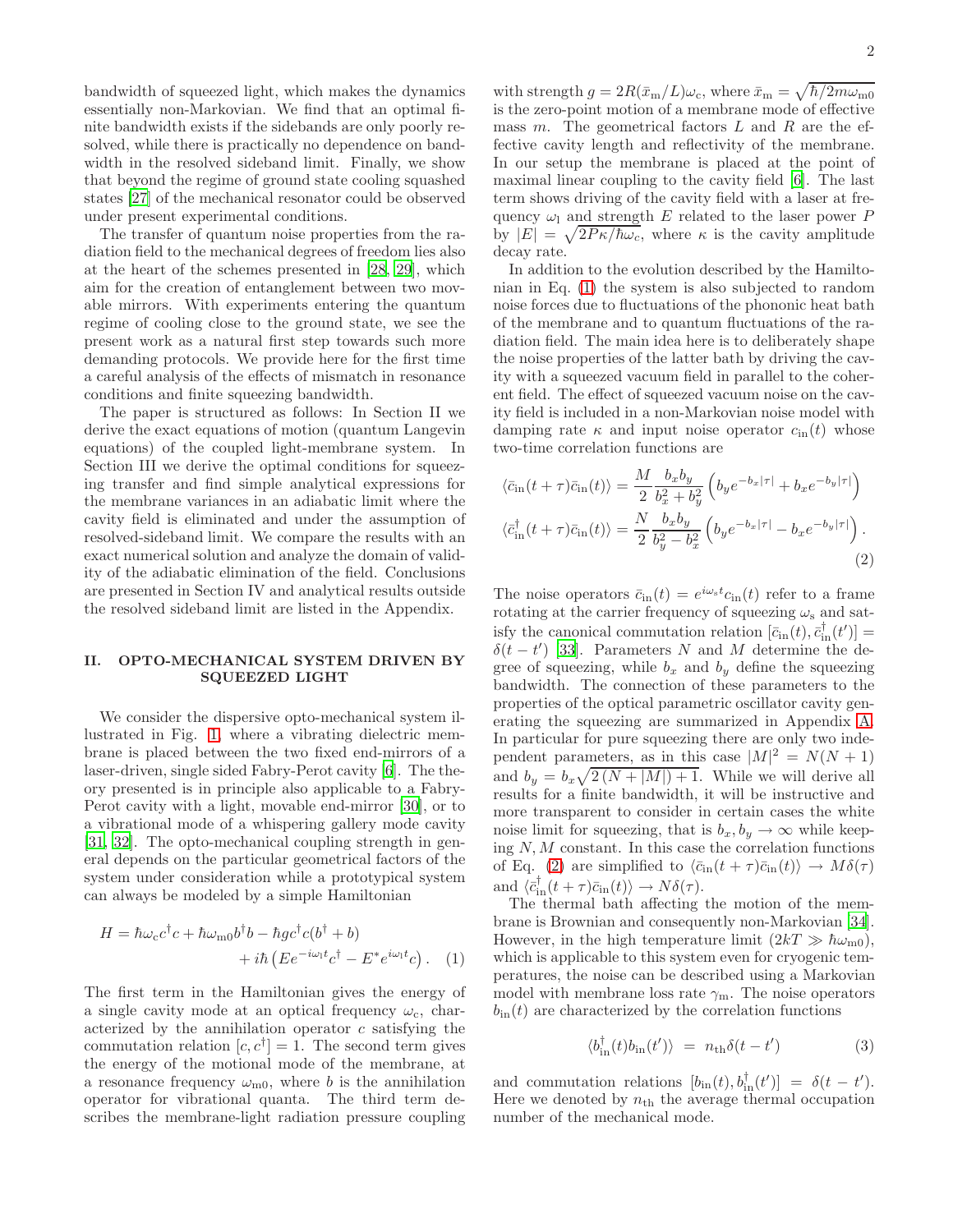bandwidth of squeezed light, which makes the dynamics essentially non-Markovian. We find that an optimal finite bandwidth exists if the sidebands are only poorly resolved, while there is practically no dependence on bandwidth in the resolved sideband limit. Finally, we show that beyond the regime of ground state cooling squashed states [\[27\]](#page-6-26) of the mechanical resonator could be observed under present experimental conditions.

The transfer of quantum noise properties from the radiation field to the mechanical degrees of freedom lies also at the heart of the schemes presented in [\[28](#page-6-27), [29\]](#page-6-28), which aim for the creation of entanglement between two movable mirrors. With experiments entering the quantum regime of cooling close to the ground state, we see the present work as a natural first step towards such more demanding protocols. We provide here for the first time a careful analysis of the effects of mismatch in resonance conditions and finite squeezing bandwidth.

The paper is structured as follows: In Section II we derive the exact equations of motion (quantum Langevin equations) of the coupled light-membrane system. In Section III we derive the optimal conditions for squeezing transfer and find simple analytical expressions for the membrane variances in an adiabatic limit where the cavity field is eliminated and under the assumption of resolved-sideband limit. We compare the results with an exact numerical solution and analyze the domain of validity of the adiabatic elimination of the field. Conclusions are presented in Section IV and analytical results outside the resolved sideband limit are listed in the Appendix.

## <span id="page-1-2"></span>II. OPTO-MECHANICAL SYSTEM DRIVEN BY SQUEEZED LIGHT

We consider the dispersive opto-mechanical system illustrated in Fig. [1,](#page-0-0) where a vibrating dielectric membrane is placed between the two fixed end-mirrors of a laser-driven, single sided Fabry-Perot cavity [\[6\]](#page-6-5). The theory presented is in principle also applicable to a Fabry-Perot cavity with a light, movable end-mirror [\[30](#page-6-29)], or to a vibrational mode of a whispering gallery mode cavity [\[31,](#page-6-30) [32](#page-6-31)]. The opto-mechanical coupling strength in general depends on the particular geometrical factors of the system under consideration while a prototypical system can always be modeled by a simple Hamiltonian

$$
H = \hbar \omega_c c^{\dagger} c + \hbar \omega_{\text{m0}} b^{\dagger} b - \hbar g c^{\dagger} c (b^{\dagger} + b) + i\hbar \left( E e^{-i\omega_{\text{1}} t} c^{\dagger} - E^* e^{i\omega_{\text{1}} t} c \right). \tag{1}
$$

The first term in the Hamiltonian gives the energy of a single cavity mode at an optical frequency  $\omega_c$ , characterized by the annihilation operator  $c$  satisfying the commutation relation  $[c, c^{\dagger}] = 1$ . The second term gives the energy of the motional mode of the membrane, at a resonance frequency  $\omega_{\rm m0}$ , where b is the annihilation operator for vibrational quanta. The third term describes the membrane-light radiation pressure coupling

with strength  $g = 2R(\bar{x}_{\text{m}}/L)\omega_{\text{c}}$ , where  $\bar{x}_{\text{m}} = \sqrt{\hbar/2m\omega_{\text{m0}}}$ is the zero-point motion of a membrane mode of effective mass  $m$ . The geometrical factors  $L$  and  $R$  are the effective cavity length and reflectivity of the membrane. In our setup the membrane is placed at the point of maximal linear coupling to the cavity field [\[6](#page-6-5)]. The last term shows driving of the cavity field with a laser at frequency  $\omega_1$  and strength E related to the laser power P by  $|E| = \sqrt{2P\kappa/\hbar\omega_c}$ , where  $\kappa$  is the cavity amplitude decay rate.

In addition to the evolution described by the Hamiltonian in Eq. [\(1\)](#page-1-0) the system is also subjected to random noise forces due to fluctuations of the phononic heat bath of the membrane and to quantum fluctuations of the radiation field. The main idea here is to deliberately shape the noise properties of the latter bath by driving the cavity with a squeezed vacuum field in parallel to the coherent field. The effect of squeezed vacuum noise on the cavity field is included in a non-Markovian noise model with damping rate  $\kappa$  and input noise operator  $c_{\text{in}}(t)$  whose two-time correlation functions are

<span id="page-1-1"></span>
$$
\langle \bar{c}_{\rm in}(t+\tau)\bar{c}_{\rm in}(t)\rangle = \frac{M}{2} \frac{b_x b_y}{b_x^2 + b_y^2} \left( b_y e^{-b_x|\tau|} + b_x e^{-b_y|\tau|} \right)
$$

$$
\langle \bar{c}_{\rm in}^{\dagger}(t+\tau)\bar{c}_{\rm in}(t)\rangle = \frac{N}{2} \frac{b_x b_y}{b_y^2 - b_x^2} \left( b_y e^{-b_x|\tau|} - b_x e^{-b_y|\tau|} \right).
$$
(2)

The noise operators  $\bar{c}_{in}(t) = e^{i\omega_{s}t}c_{in}(t)$  refer to a frame rotating at the carrier frequency of squeezing  $\omega_s$  and satisfy the canonical commutation relation  $[\bar{c}_{\text{in}}(t), \bar{c}_{\text{in}}^{\dagger}(t')] =$  $δ(t - t')$  [\[33\]](#page-7-0). Parameters N and M determine the degree of squeezing, while  $b_x$  and  $b_y$  define the squeezing bandwidth. The connection of these parameters to the properties of the optical parametric oscillator cavity generating the squeezing are summarized in Appendix [A.](#page-5-0) In particular for pure squeezing there are only two independent parameters, as in this case  $|M|^2 = N(N + 1)$ and  $b_y = b_x \sqrt{2(N + |M|) + 1}$ . While we will derive all results for a finite bandwidth, it will be instructive and more transparent to consider in certain cases the white noise limit for squeezing, that is  $b_x, b_y \rightarrow \infty$  while keeping  $N, M$  constant. In this case the correlation functions of Eq. [\(2\)](#page-1-1) are simplified to  $\langle \bar{c}_{\text{in}}(t + \tau)\bar{c}_{\text{in}}(t)\rangle \rightarrow M \delta(\tau)$ and  $\langle \bar{c}_{\text{in}}^{\dagger}(t+\tau)\bar{c}_{\text{in}}(t)\rangle \rightarrow N\delta(\tau).$ 

<span id="page-1-0"></span>The thermal bath affecting the motion of the membrane is Brownian and consequently non-Markovian [\[34\]](#page-7-1). However, in the high temperature limit  $(2kT \gg \hbar \omega_{\text{m0}})$ , which is applicable to this system even for cryogenic temperatures, the noise can be described using a Markovian model with membrane loss rate  $\gamma_m$ . The noise operators  $b_{\text{in}}(t)$  are characterized by the correlation functions

$$
\langle b_{\text{in}}^{\dagger}(t)b_{\text{in}}(t')\rangle = n_{\text{th}}\delta(t-t')
$$
 (3)

and commutation relations  $[b_{\text{in}}(t), b_{\text{in}}^{\dagger}(t')] = \delta(t - t').$ Here we denoted by  $n_{\text{th}}$  the average thermal occupation number of the mechanical mode.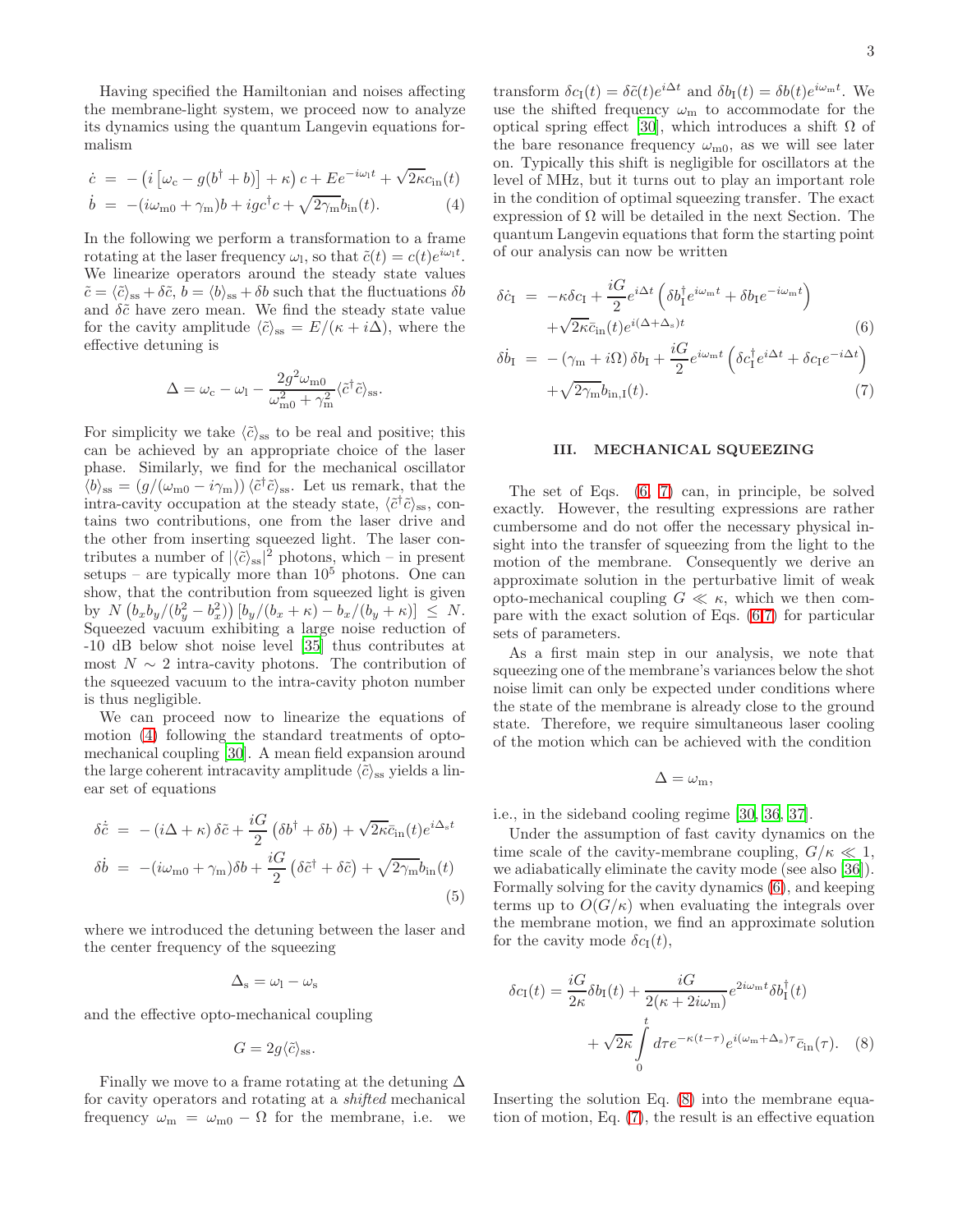Having specified the Hamiltonian and noises affecting the membrane-light system, we proceed now to analyze its dynamics using the quantum Langevin equations formalism

<span id="page-2-0"></span>
$$
\dot{c} = -\left(i\left[\omega_c - g(b^\dagger + b)\right] + \kappa\right)c + E e^{-i\omega_1 t} + \sqrt{2\kappa}c_{\rm in}(t)
$$

$$
\dot{b} = -(\dot{u}\omega_{\rm m0} + \gamma_{\rm m})b + igc^{\dagger}c + \sqrt{2\gamma_{\rm m}}b_{\rm in}(t). \tag{4}
$$

In the following we perform a transformation to a frame rotating at the laser frequency  $\omega_l$ , so that  $\tilde{c}(t) = c(t)e^{i\omega_l t}$ . We linearize operators around the steady state values  $\tilde{c} = \langle \tilde{c} \rangle_{\text{ss}} + \delta \tilde{c}, b = \langle b \rangle_{\text{ss}} + \delta b$  such that the fluctuations  $\delta b$ and  $\delta\tilde{c}$  have zero mean. We find the steady state value for the cavity amplitude  $\langle \tilde{c} \rangle_{\rm ss} = E/(\kappa + i\Delta)$ , where the effective detuning is

$$
\Delta = \omega_{\rm c} - \omega_{\rm l} - \frac{2g^2 \omega_{\rm m0}}{\omega_{\rm m0}^2 + \gamma_{\rm m}^2} \langle \tilde{c}^\dagger \tilde{c} \rangle_{\rm ss}.
$$

For simplicity we take  $\langle \tilde{c} \rangle_{\rm ss}$  to be real and positive; this can be achieved by an appropriate choice of the laser phase. Similarly, we find for the mechanical oscillator  $\langle b \rangle_{\rm ss} = (g/(\omega_{\rm m0} - i\gamma_{\rm m}))\langle \tilde{c}^\dagger \tilde{c} \rangle_{\rm ss}$ . Let us remark, that the intra-cavity occupation at the steady state,  $\langle \tilde{c}^\dagger \tilde{c} \rangle_{\rm ss}$ , contains two contributions, one from the laser drive and the other from inserting squeezed light. The laser contributes a number of  $|\langle \tilde{c} \rangle_{\text{ss}}|^2$  photons, which – in present setups – are typically more than  $10^5$  photons. One can show, that the contribution from squeezed light is given by  $N(b_x b_y/(b_y^2 - b_x^2)) [b_y/(b_x + \kappa) - b_x/(b_y + \kappa)] \leq N$ . Squeezed vacuum exhibiting a large noise reduction of -10 dB below shot noise level [\[35\]](#page-7-2) thus contributes at most  $N \sim 2$  intra-cavity photons. The contribution of the squeezed vacuum to the intra-cavity photon number is thus negligible.

We can proceed now to linearize the equations of motion [\(4\)](#page-2-0) following the standard treatments of optomechanical coupling [\[30](#page-6-29)]. A mean field expansion around the large coherent intracavity amplitude  $\langle \tilde{c} \rangle_{\rm ss}$  yields a linear set of equations

$$
\delta \dot{\tilde{c}} = - (i\Delta + \kappa) \delta \tilde{c} + \frac{iG}{2} (\delta b^{\dagger} + \delta b) + \sqrt{2\kappa} \bar{c}_{\rm in}(t) e^{i\Delta_{\rm s}t} \n\delta \dot{b} = - (i\omega_{\rm m0} + \gamma_{\rm m}) \delta b + \frac{iG}{2} (\delta \tilde{c}^{\dagger} + \delta \tilde{c}) + \sqrt{2\gamma_{\rm m}} b_{\rm in}(t) \n(5)
$$

where we introduced the detuning between the laser and the center frequency of the squeezing

$$
\Delta_{\rm s}=\omega_{\rm l}-\omega_{\rm s}
$$

and the effective opto-mechanical coupling

$$
G=2g\langle \tilde{c} \rangle_{\rm ss}.
$$

Finally we move to a frame rotating at the detuning  $\Delta$ for cavity operators and rotating at a shifted mechanical frequency  $\omega_{\rm m} = \omega_{\rm m0} - \Omega$  for the membrane, i.e. we

transform  $\delta c_{\rm I}(t) = \delta \tilde{c}(t) e^{i\Delta t}$  and  $\delta b_{\rm I}(t) = \delta b(t) e^{i\omega_{\rm m}t}$ . We use the shifted frequency  $\omega_{\rm m}$  to accommodate for the optical spring effect [\[30\]](#page-6-29), which introduces a shift Ω of the bare resonance frequency  $\omega_{m0}$ , as we will see later on. Typically this shift is negligible for oscillators at the level of MHz, but it turns out to play an important role in the condition of optimal squeezing transfer. The exact expression of  $\Omega$  will be detailed in the next Section. The quantum Langevin equations that form the starting point of our analysis can now be written

<span id="page-2-1"></span>
$$
\delta \dot{c}_{I} = -\kappa \delta c_{I} + \frac{iG}{2} e^{i\Delta t} \left( \delta b_{I}^{\dagger} e^{i\omega_{m}t} + \delta b_{I} e^{-i\omega_{m}t} \right) \n+ \sqrt{2\kappa} \bar{c}_{in}(t) e^{i(\Delta + \Delta_{\rm s})t} \tag{6}
$$
\n
$$
\delta \dot{b}_{I} = -(\gamma_{\rm m} + i\Omega) \delta b_{I} + \frac{iG}{2} e^{i\omega_{\rm m}t} \left( \delta c_{I}^{\dagger} e^{i\Delta t} + \delta c_{I} e^{-i\Delta t} \right) \n+ \sqrt{2\gamma_{\rm m}} b_{in,I}(t). \tag{7}
$$

## <span id="page-2-3"></span>III. MECHANICAL SQUEEZING

The set of Eqs. [\(6, 7\)](#page-2-1) can, in principle, be solved exactly. However, the resulting expressions are rather cumbersome and do not offer the necessary physical insight into the transfer of squeezing from the light to the motion of the membrane. Consequently we derive an approximate solution in the perturbative limit of weak opto-mechanical coupling  $G \ll \kappa$ , which we then compare with the exact solution of Eqs. [\(6,7\)](#page-2-1) for particular sets of parameters.

As a first main step in our analysis, we note that squeezing one of the membrane's variances below the shot noise limit can only be expected under conditions where the state of the membrane is already close to the ground state. Therefore, we require simultaneous laser cooling of the motion which can be achieved with the condition

<span id="page-2-2"></span>
$$
\Delta=\omega_{\rm m},
$$

i.e., in the sideband cooling regime [\[30](#page-6-29), [36](#page-7-3), [37](#page-7-4)].

Under the assumption of fast cavity dynamics on the time scale of the cavity-membrane coupling,  $G/\kappa \ll 1$ , we adiabatically eliminate the cavity mode (see also [\[36\]](#page-7-3)). Formally solving for the cavity dynamics [\(6\)](#page-2-1), and keeping terms up to  $O(G/\kappa)$  when evaluating the integrals over the membrane motion, we find an approximate solution for the cavity mode  $\delta c_I(t)$ ,

$$
\delta c_{\rm I}(t) = \frac{iG}{2\kappa} \delta b_{\rm I}(t) + \frac{iG}{2(\kappa + 2i\omega_{\rm m})} e^{2i\omega_{\rm m}t} \delta b_{\rm I}^{\dagger}(t) + \sqrt{2\kappa} \int_{0}^{t} d\tau e^{-\kappa(t-\tau)} e^{i(\omega_{\rm m} + \Delta_{\rm s})\tau} \bar{c}_{\rm in}(\tau). \tag{8}
$$

Inserting the solution Eq. [\(8\)](#page-2-2) into the membrane equation of motion, Eq. [\(7\)](#page-2-1), the result is an effective equation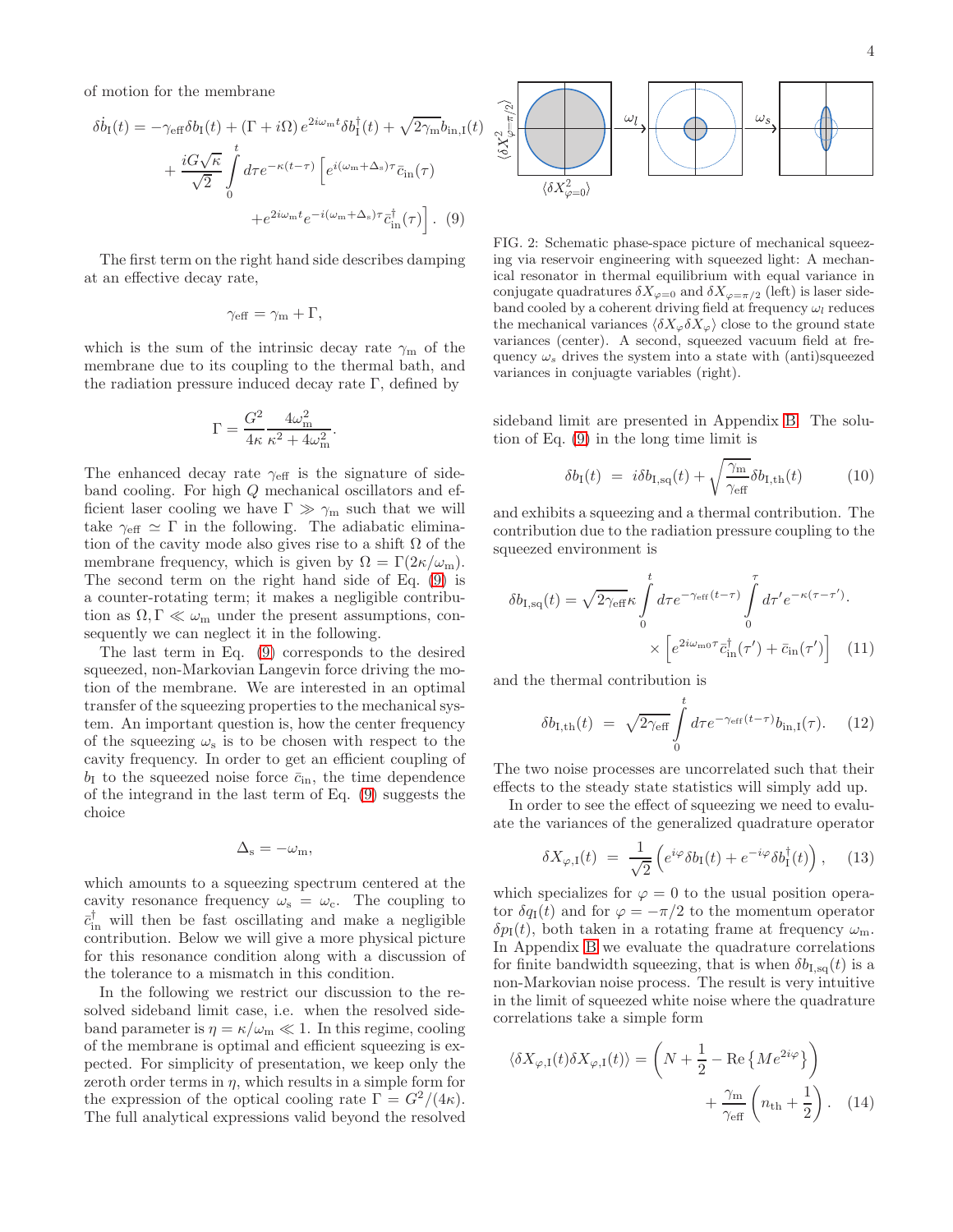of motion for the membrane

$$
\delta \dot{b}_{\rm I}(t) = -\gamma_{\rm eff} \delta b_{\rm I}(t) + (\Gamma + i\Omega) e^{2i\omega_{\rm m}t} \delta b_{\rm I}^{\dagger}(t) + \sqrt{2\gamma_{\rm m}} b_{\rm in, I}(t) \n+ \frac{iG\sqrt{\kappa}}{\sqrt{2}} \int_{0}^{t} d\tau e^{-\kappa(t-\tau)} \left[ e^{i(\omega_{\rm m}+\Delta_{\rm s})\tau} \bar{c}_{\rm in}(\tau) \right. \n+ e^{2i\omega_{\rm m}t} e^{-i(\omega_{\rm m}+\Delta_{\rm s})\tau} \bar{c}_{\rm in}^{\dagger}(\tau) \right].
$$
 (9)

The first term on the right hand side describes damping at an effective decay rate,

$$
\gamma_{\rm eff} = \gamma_{\rm m} + \Gamma,
$$

which is the sum of the intrinsic decay rate  $\gamma_m$  of the membrane due to its coupling to the thermal bath, and the radiation pressure induced decay rate  $\Gamma$ , defined by

$$
\Gamma = \frac{G^2}{4\kappa} \frac{4\omega_{\rm m}^2}{\kappa^2 + 4\omega_{\rm m}^2}
$$

.

The enhanced decay rate  $\gamma_{\text{eff}}$  is the signature of sideband cooling. For high Q mechanical oscillators and efficient laser cooling we have  $\Gamma \gg \gamma_m$  such that we will take  $\gamma_{\text{eff}} \simeq \Gamma$  in the following. The adiabatic elimination of the cavity mode also gives rise to a shift  $\Omega$  of the membrane frequency, which is given by  $\Omega = \Gamma(2\kappa/\omega_m)$ . The second term on the right hand side of Eq. [\(9\)](#page-3-0) is a counter-rotating term; it makes a negligible contribution as  $\Omega, \Gamma \ll \omega_m$  under the present assumptions, consequently we can neglect it in the following.

The last term in Eq. [\(9\)](#page-3-0) corresponds to the desired squeezed, non-Markovian Langevin force driving the motion of the membrane. We are interested in an optimal transfer of the squeezing properties to the mechanical system. An important question is, how the center frequency of the squeezing  $\omega_s$  is to be chosen with respect to the cavity frequency. In order to get an efficient coupling of  $b_I$  to the squeezed noise force  $\bar{c}_{\text{in}}$ , the time dependence of the integrand in the last term of Eq. [\(9\)](#page-3-0) suggests the choice

$$
\Delta_{\rm s}=-\omega_{\rm m},
$$

which amounts to a squeezing spectrum centered at the cavity resonance frequency  $\omega_s = \omega_c$ . The coupling to  $\bar{c}_{in}^{\dagger}$  will then be fast oscillating and make a negligible contribution. Below we will give a more physical picture for this resonance condition along with a discussion of the tolerance to a mismatch in this condition.

In the following we restrict our discussion to the resolved sideband limit case, i.e. when the resolved sideband parameter is  $\eta = \kappa/\omega_m \ll 1$ . In this regime, cooling of the membrane is optimal and efficient squeezing is expected. For simplicity of presentation, we keep only the zeroth order terms in  $\eta$ , which results in a simple form for the expression of the optical cooling rate  $\Gamma = G^2/(4\kappa)$ . The full analytical expressions valid beyond the resolved



<span id="page-3-2"></span><span id="page-3-0"></span>FIG. 2: Schematic phase-space picture of mechanical squeezing via reservoir engineering with squeezed light: A mechanical resonator in thermal equilibrium with equal variance in conjugate quadratures  $\delta X_{\varphi=0}$  and  $\delta X_{\varphi=\pi/2}$  (left) is laser sideband cooled by a coherent driving field at frequency  $\omega_l$  reduces the mechanical variances  $\langle \delta X_{\varphi} \delta X_{\varphi} \rangle$  close to the ground state variances (center). A second, squeezed vacuum field at frequency  $\omega_s$  drives the system into a state with (anti)squeezed variances in conjuagte variables (right).

sideband limit are presented in Appendix [B.](#page-5-1) The solution of Eq. [\(9\)](#page-3-0) in the long time limit is

<span id="page-3-3"></span>
$$
\delta b_{\rm I}(t) = i\delta b_{\rm I,sq}(t) + \sqrt{\frac{\gamma_{\rm m}}{\gamma_{\rm eff}}} \delta b_{\rm I,th}(t) \tag{10}
$$

and exhibits a squeezing and a thermal contribution. The contribution due to the radiation pressure coupling to the squeezed environment is

$$
\delta b_{\text{I,sq}}(t) = \sqrt{2\gamma_{\text{eff}}\kappa} \int_{0}^{t} d\tau e^{-\gamma_{\text{eff}}(t-\tau)} \int_{0}^{\tau} d\tau' e^{-\kappa(\tau-\tau')} \cdot \times \left[ e^{2i\omega_{\text{m0}}\tau} \bar{c}_{\text{in}}^{\dagger}(\tau') + \bar{c}_{\text{in}}(\tau') \right] \tag{11}
$$

and the thermal contribution is

<span id="page-3-5"></span><span id="page-3-4"></span>
$$
\delta b_{\rm I,th}(t) = \sqrt{2\gamma_{\rm eff}} \int\limits_{0}^{t} d\tau e^{-\gamma_{\rm eff}(t-\tau)} b_{\rm in,I}(\tau). \tag{12}
$$

The two noise processes are uncorrelated such that their effects to the steady state statistics will simply add up.

In order to see the effect of squeezing we need to evaluate the variances of the generalized quadrature operator

<span id="page-3-6"></span>
$$
\delta X_{\varphi,\mathrm{I}}(t) = \frac{1}{\sqrt{2}} \left( e^{i\varphi} \delta b_{\mathrm{I}}(t) + e^{-i\varphi} \delta b_{\mathrm{I}}^{\dagger}(t) \right), \quad (13)
$$

which specializes for  $\varphi = 0$  to the usual position operator  $\delta q_I(t)$  and for  $\varphi = -\pi/2$  to the momentum operator  $\delta p_{\rm I}(t)$ , both taken in a rotating frame at frequency  $\omega_{\rm m}$ . In Appendix [B](#page-5-1) we evaluate the quadrature correlations for finite bandwidth squeezing, that is when  $\delta b_{I,sq}(t)$  is a non-Markovian noise process. The result is very intuitive in the limit of squeezed white noise where the quadrature correlations take a simple form

<span id="page-3-1"></span>
$$
\langle \delta X_{\varphi, \mathcal{I}}(t) \delta X_{\varphi, \mathcal{I}}(t) \rangle = \left( N + \frac{1}{2} - \text{Re} \left\{ M e^{2i\varphi} \right\} \right) + \frac{\gamma_{\text{m}}}{\gamma_{\text{eff}}} \left( n_{\text{th}} + \frac{1}{2} \right). \quad (14)
$$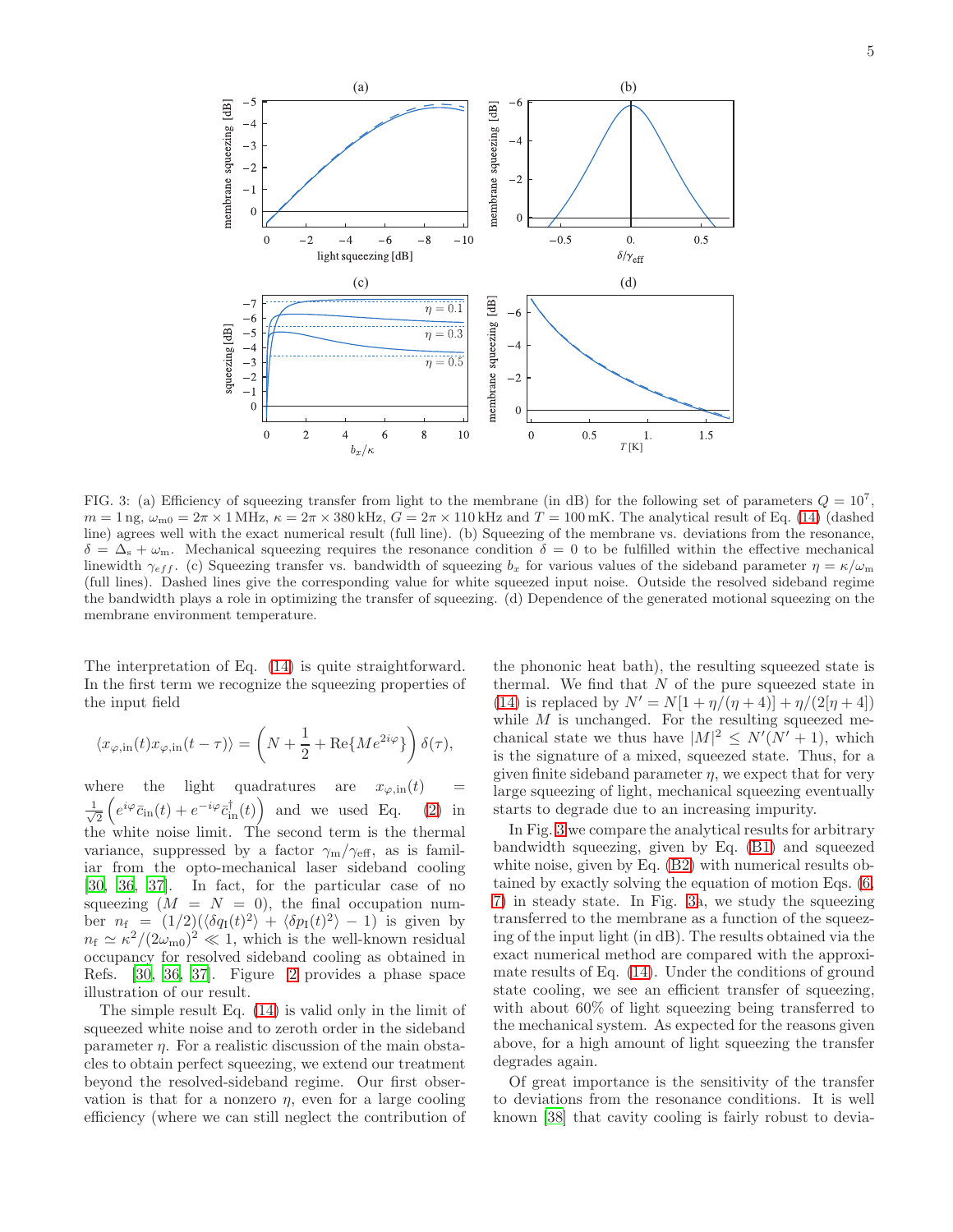

<span id="page-4-0"></span>FIG. 3: (a) Efficiency of squeezing transfer from light to the membrane (in dB) for the following set of parameters  $Q = 10^7$ ,  $m = 1$  ng,  $\omega_{m0} = 2\pi \times 1$  MHz,  $\kappa = 2\pi \times 380$  kHz,  $G = 2\pi \times 110$  kHz and  $T = 100$  mK. The analytical result of Eq. [\(14\)](#page-3-1) (dashed line) agrees well with the exact numerical result (full line). (b) Squeezing of the membrane vs. deviations from the resonance,  $\delta = \Delta_{\rm s} + \omega_{\rm m}$ . Mechanical squeezing requires the resonance condition  $\delta = 0$  to be fulfilled within the effective mechanical linewidth  $\gamma_{eff}$ . (c) Squeezing transfer vs. bandwidth of squeezing  $b_x$  for various values of the sideband parameter  $\eta = \kappa/\omega_m$ (full lines). Dashed lines give the corresponding value for white squeezed input noise. Outside the resolved sideband regime the bandwidth plays a role in optimizing the transfer of squeezing. (d) Dependence of the generated motional squeezing on the membrane environment temperature.

The interpretation of Eq. [\(14\)](#page-3-1) is quite straightforward. In the first term we recognize the squeezing properties of the input field

$$
\langle x_{\varphi, \text{in}}(t)x_{\varphi, \text{in}}(t-\tau) \rangle = \left( N + \frac{1}{2} + \text{Re}\{ M e^{2i\varphi} \} \right) \delta(\tau),
$$

where the light quadratures are  $x_{\varphi, \text{in}}(t)$ √ 1  $\frac{1}{2}\left(e^{i\varphi}\bar{c}_{\rm in}(t) + e^{-i\varphi}\bar{c}_{\rm in}^{\dagger}(t)\right)$  and we used Eq. [\(2\)](#page-1-1) in the white noise limit. The second term is the thermal variance, suppressed by a factor  $\gamma_{\rm m}/\gamma_{\rm eff}$ , as is familiar from the opto-mechanical laser sideband cooling [\[30,](#page-6-29) [36](#page-7-3), [37\]](#page-7-4). In fact, for the particular case of no squeezing  $(M = N = 0)$ , the final occupation number  $n_f = (1/2)(\langle \delta q_I(t)^2 \rangle + \langle \delta p_I(t)^2 \rangle - 1)$  is given by  $n_f \simeq \kappa^2/(2\omega_{\rm m0})^2 \ll 1$ , which is the well-known residual occupancy for resolved sideband cooling as obtained in Refs. [\[30](#page-6-29), [36](#page-7-3), [37](#page-7-4)]. Figure [2](#page-3-2) provides a phase space illustration of our result.

The simple result Eq. [\(14\)](#page-3-1) is valid only in the limit of squeezed white noise and to zeroth order in the sideband parameter  $\eta$ . For a realistic discussion of the main obstacles to obtain perfect squeezing, we extend our treatment beyond the resolved-sideband regime. Our first observation is that for a nonzero  $\eta$ , even for a large cooling efficiency (where we can still neglect the contribution of

the phononic heat bath), the resulting squeezed state is thermal. We find that  $N$  of the pure squeezed state in [\(14\)](#page-3-1) is replaced by  $N' = N[1 + \eta/(\eta + 4)] + \eta/(2[\eta + 4])$ while  $M$  is unchanged. For the resulting squeezed mechanical state we thus have  $|M|^2 \le N'(N'+1)$ , which is the signature of a mixed, squeezed state. Thus, for a given finite sideband parameter  $\eta$ , we expect that for very large squeezing of light, mechanical squeezing eventually starts to degrade due to an increasing impurity.

In Fig. [3](#page-4-0) we compare the analytical results for arbitrary bandwidth squeezing, given by Eq. [\(B1\)](#page-6-32) and squeezed white noise, given by Eq. [\(B2\)](#page-6-33) with numerical results obtained by exactly solving the equation of motion Eqs. [\(6,](#page-2-1) [7\)](#page-2-1) in steady state. In Fig. [3a](#page-4-0), we study the squeezing transferred to the membrane as a function of the squeezing of the input light (in dB). The results obtained via the exact numerical method are compared with the approximate results of Eq. [\(14\)](#page-3-1). Under the conditions of ground state cooling, we see an efficient transfer of squeezing, with about 60% of light squeezing being transferred to the mechanical system. As expected for the reasons given above, for a high amount of light squeezing the transfer degrades again.

Of great importance is the sensitivity of the transfer to deviations from the resonance conditions. It is well known [\[38\]](#page-7-5) that cavity cooling is fairly robust to devia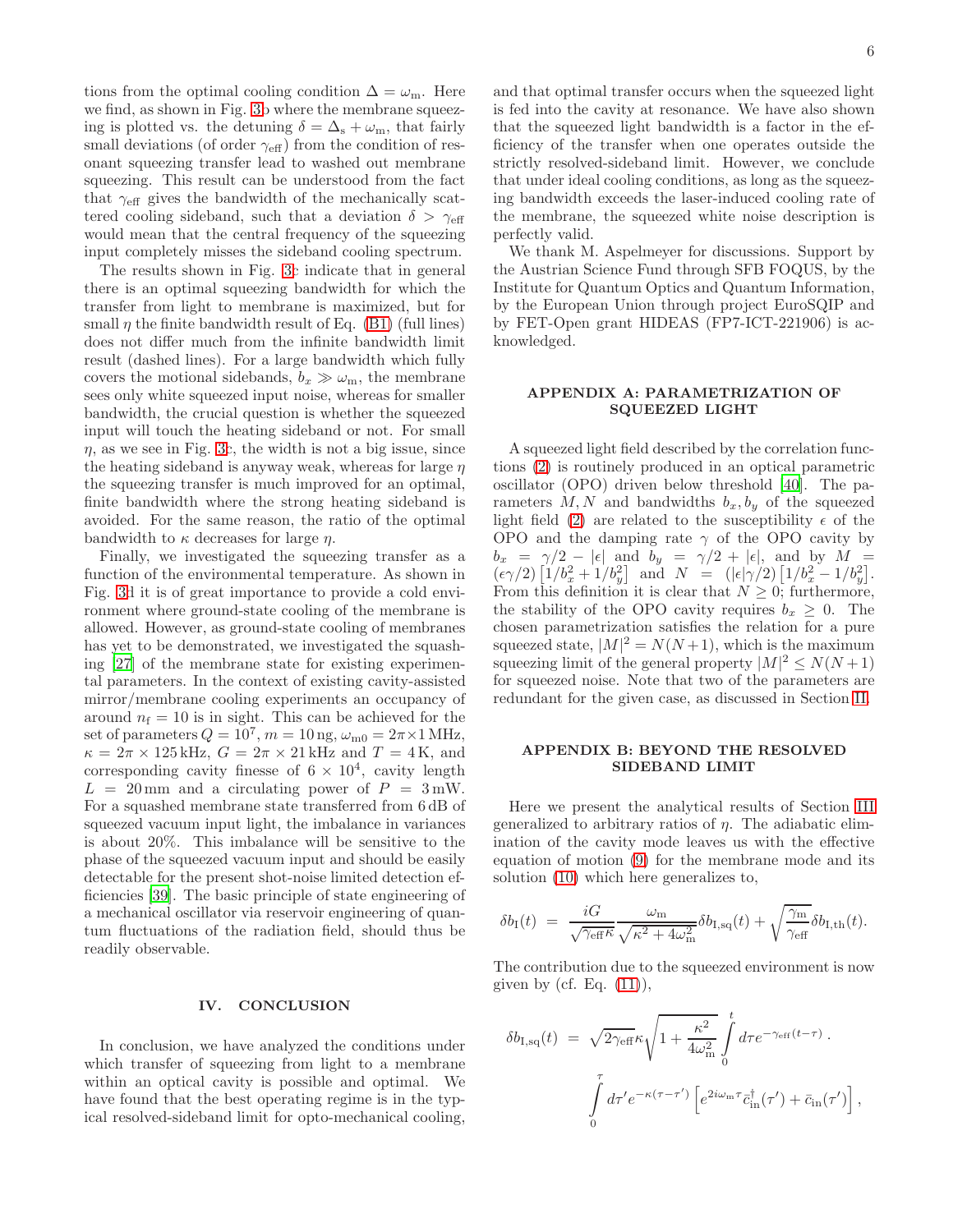tions from the optimal cooling condition  $\Delta = \omega_{\rm m}$ . Here we find, as shown in Fig. [3b](#page-4-0) where the membrane squeezing is plotted vs. the detuning  $\delta = \Delta_s + \omega_m$ , that fairly small deviations (of order  $\gamma_{\text{eff}}$ ) from the condition of resonant squeezing transfer lead to washed out membrane squeezing. This result can be understood from the fact that  $\gamma_{\text{eff}}$  gives the bandwidth of the mechanically scattered cooling sideband, such that a deviation  $\delta > \gamma_{\text{eff}}$ would mean that the central frequency of the squeezing input completely misses the sideband cooling spectrum.

The results shown in Fig. [3c](#page-4-0) indicate that in general there is an optimal squeezing bandwidth for which the transfer from light to membrane is maximized, but for small  $\eta$  the finite bandwidth result of Eq. [\(B1\)](#page-6-32) (full lines) does not differ much from the infinite bandwidth limit result (dashed lines). For a large bandwidth which fully covers the motional sidebands,  $b_x \gg \omega_m$ , the membrane sees only white squeezed input noise, whereas for smaller bandwidth, the crucial question is whether the squeezed input will touch the heating sideband or not. For small  $\eta$ , as we see in Fig. [3c](#page-4-0), the width is not a big issue, since the heating sideband is anyway weak, whereas for large  $\eta$ the squeezing transfer is much improved for an optimal, finite bandwidth where the strong heating sideband is avoided. For the same reason, the ratio of the optimal bandwidth to  $\kappa$  decreases for large  $\eta$ .

Finally, we investigated the squeezing transfer as a function of the environmental temperature. As shown in Fig. [3d](#page-4-0) it is of great importance to provide a cold environment where ground-state cooling of the membrane is allowed. However, as ground-state cooling of membranes has yet to be demonstrated, we investigated the squashing [\[27](#page-6-26)] of the membrane state for existing experimental parameters. In the context of existing cavity-assisted mirror/membrane cooling experiments an occupancy of around  $n_f = 10$  is in sight. This can be achieved for the set of parameters  $Q = 10^7$ ,  $m = 10$  ng,  $\omega_{\text{m0}} = 2\pi \times 1$  MHz,  $\kappa = 2\pi \times 125$  kHz,  $G = 2\pi \times 21$  kHz and  $T = 4$  K, and corresponding cavity finesse of  $6 \times 10^4$ , cavity length  $L = 20$  mm and a circulating power of  $P = 3$  mW. For a squashed membrane state transferred from 6 dB of squeezed vacuum input light, the imbalance in variances is about 20%. This imbalance will be sensitive to the phase of the squeezed vacuum input and should be easily detectable for the present shot-noise limited detection efficiencies [\[39\]](#page-7-6). The basic principle of state engineering of a mechanical oscillator via reservoir engineering of quantum fluctuations of the radiation field, should thus be readily observable.

#### IV. CONCLUSION

In conclusion, we have analyzed the conditions under which transfer of squeezing from light to a membrane within an optical cavity is possible and optimal. We have found that the best operating regime is in the typical resolved-sideband limit for opto-mechanical cooling,

and that optimal transfer occurs when the squeezed light is fed into the cavity at resonance. We have also shown that the squeezed light bandwidth is a factor in the efficiency of the transfer when one operates outside the strictly resolved-sideband limit. However, we conclude that under ideal cooling conditions, as long as the squeezing bandwidth exceeds the laser-induced cooling rate of the membrane, the squeezed white noise description is perfectly valid.

We thank M. Aspelmeyer for discussions. Support by the Austrian Science Fund through SFB FOQUS, by the Institute for Quantum Optics and Quantum Information, by the European Union through project EuroSQIP and by FET-Open grant HIDEAS (FP7-ICT-221906) is acknowledged.

### <span id="page-5-0"></span>APPENDIX A: PARAMETRIZATION OF SQUEEZED LIGHT

A squeezed light field described by the correlation functions [\(2\)](#page-1-1) is routinely produced in an optical parametric oscillator (OPO) driven below threshold [\[40\]](#page-7-7). The parameters  $M, N$  and bandwidths  $b_x, b_y$  of the squeezed light field [\(2\)](#page-1-1) are related to the susceptibility  $\epsilon$  of the OPO and the damping rate  $\gamma$  of the OPO cavity by  $b_x = \gamma/2 - |\epsilon|$  and  $b_y = \gamma/2 + |\epsilon|$ , and by  $M =$  $(\epsilon \gamma/2) \left[1/b_x^2 + 1/b_y^2\right]$  and  $N = (|\epsilon|\gamma/2) \left[1/b_x^2 - 1/b_y^2\right]$ . From this definition it is clear that  $N \geq 0$ ; furthermore, the stability of the OPO cavity requires  $b_x \geq 0$ . The chosen parametrization satisfies the relation for a pure squeezed state,  $|M|^2 = N(N+1)$ , which is the maximum squeezing limit of the general property  $|M|^2 \le N(N+1)$ for squeezed noise. Note that two of the parameters are redundant for the given case, as discussed in Section [II.](#page-1-2)

### <span id="page-5-1"></span>APPENDIX B: BEYOND THE RESOLVED SIDEBAND LIMIT

Here we present the analytical results of Section [III](#page-2-3) generalized to arbitrary ratios of  $\eta$ . The adiabatic elimination of the cavity mode leaves us with the effective equation of motion [\(9\)](#page-3-0) for the membrane mode and its solution [\(10\)](#page-3-3) which here generalizes to,

$$
\delta b_{\rm I}(t) \ = \ \frac{iG}{\sqrt{\gamma_{\rm eff}\kappa}} \frac{\omega_{\rm m}}{\sqrt{\kappa^2 + 4\omega_{\rm m}^2}} \delta b_{\rm I, sq}(t) + \sqrt{\frac{\gamma_{\rm m}}{\gamma_{\rm eff}}} \delta b_{\rm I, th}(t).
$$

The contribution due to the squeezed environment is now given by (cf. Eq.  $(11)$ ),

$$
\delta b_{\text{I,sq}}(t) = \sqrt{2\gamma_{\text{eff}}} \kappa \sqrt{1 + \frac{\kappa^2}{4\omega_{\text{m}}^2}} \int_0^t d\tau e^{-\gamma_{\text{eff}}(t-\tau)} \cdot \int_0^{\tau} d\tau' e^{-\kappa(\tau-\tau')} \left[ e^{2i\omega_{\text{m}}\tau} \bar{c}_{\text{in}}^{\dagger}(\tau') + \bar{c}_{\text{in}}(\tau') \right],
$$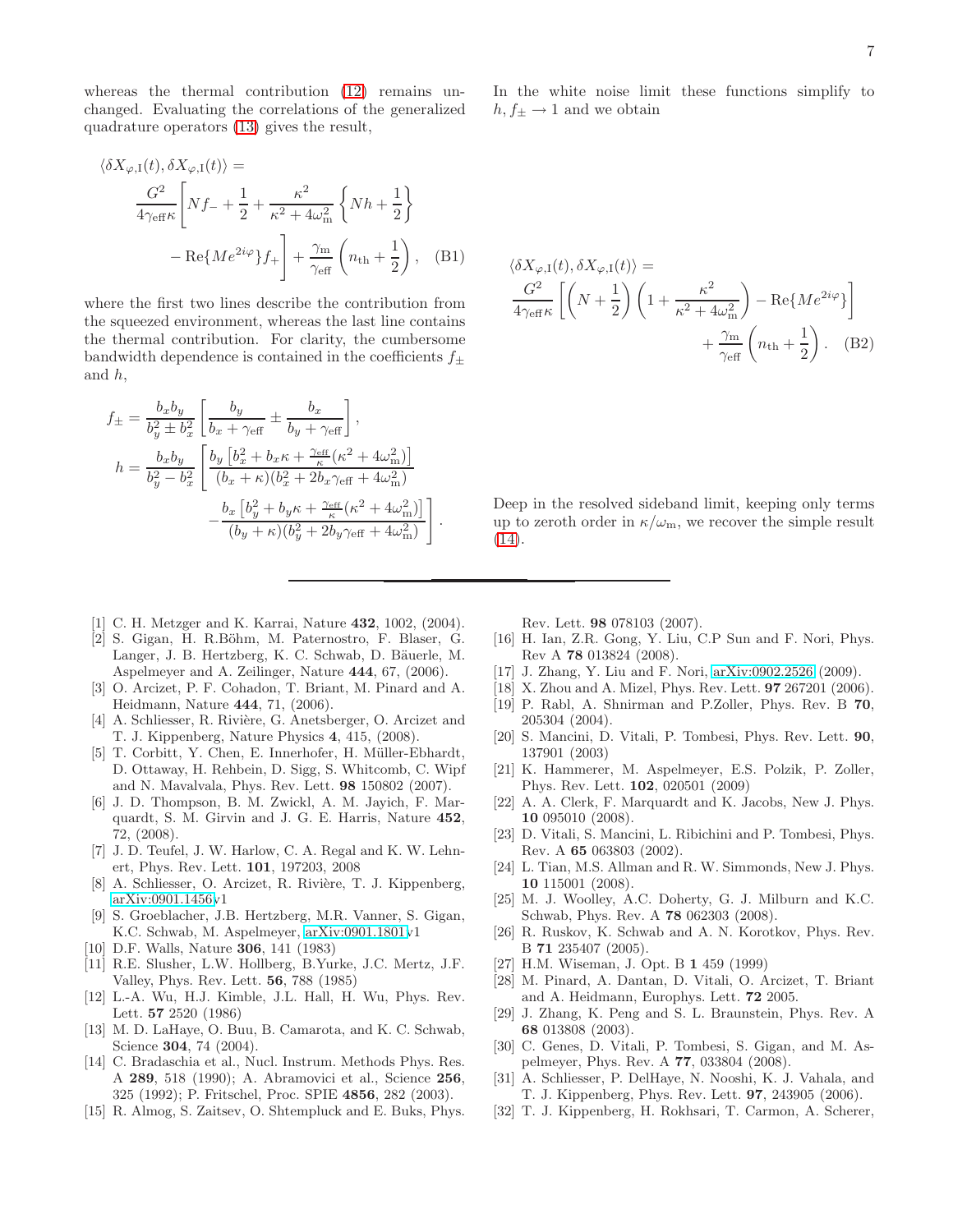whereas the thermal contribution [\(12\)](#page-3-5) remains unchanged. Evaluating the correlations of the generalized quadrature operators [\(13\)](#page-3-6) gives the result,

$$
\langle \delta X_{\varphi, I}(t), \delta X_{\varphi, I}(t) \rangle =
$$
  

$$
\frac{G^2}{4\gamma_{\text{eff}}\kappa} \left[ Nf_- + \frac{1}{2} + \frac{\kappa^2}{\kappa^2 + 4\omega_m^2} \left\{ Nh + \frac{1}{2} \right\}
$$
  

$$
- \text{Re}\{ M e^{2i\varphi} \} f_+ \right] + \frac{\gamma_m}{\gamma_{\text{eff}}} \left( n_{\text{th}} + \frac{1}{2} \right), \quad (B1)
$$

where the first two lines describe the contribution from the squeezed environment, whereas the last line contains the thermal contribution. For clarity, the cumbersome bandwidth dependence is contained in the coefficients  $f_{\pm}$ and h,

$$
f_{\pm} = \frac{b_x b_y}{b_y^2 \pm b_x^2} \left[ \frac{b_y}{b_x + \gamma_{\text{eff}}} \pm \frac{b_x}{b_y + \gamma_{\text{eff}}} \right],
$$
  
\n
$$
h = \frac{b_x b_y}{b_y^2 - b_x^2} \left[ \frac{b_y \left[ b_x^2 + b_x \kappa + \frac{\gamma_{\text{eff}}}{\kappa} (\kappa^2 + 4\omega_{\text{m}}^2) \right]}{(b_x + \kappa)(b_x^2 + 2b_x \gamma_{\text{eff}} + 4\omega_{\text{m}}^2)} - \frac{b_x \left[ b_y^2 + b_y \kappa + \frac{\gamma_{\text{eff}}}{\kappa} (\kappa^2 + 4\omega_{\text{m}}^2) \right]}{(b_y + \kappa)(b_y^2 + 2b_y \gamma_{\text{eff}} + 4\omega_{\text{m}}^2)} \right].
$$

- <span id="page-6-0"></span>[1] C. H. Metzger and K. Karrai, Nature **432**, 1002, (2004).
- <span id="page-6-1"></span>[2] S. Gigan, H. R.Böhm, M. Paternostro, F. Blaser, G. Langer, J. B. Hertzberg, K. C. Schwab, D. Bäuerle, M. Aspelmeyer and A. Zeilinger, Nature 444, 67, (2006).
- <span id="page-6-2"></span>[3] O. Arcizet, P. F. Cohadon, T. Briant, M. Pinard and A. Heidmann, Nature 444, 71, (2006).
- <span id="page-6-3"></span>[4] A. Schliesser, R. Rivière, G. Anetsberger, O. Arcizet and T. J. Kippenberg, Nature Physics 4, 415, (2008).
- <span id="page-6-4"></span>[5] T. Corbitt, Y. Chen, E. Innerhofer, H. Müller-Ebhardt, D. Ottaway, H. Rehbein, D. Sigg, S. Whitcomb, C. Wipf and N. Mavalvala, Phys. Rev. Lett. 98 150802 (2007).
- <span id="page-6-5"></span>[6] J. D. Thompson, B. M. Zwickl, A. M. Jayich, F. Marquardt, S. M. Girvin and J. G. E. Harris, Nature 452, 72, (2008).
- <span id="page-6-6"></span>[7] J. D. Teufel, J. W. Harlow, C. A. Regal and K. W. Lehnert, Phys. Rev. Lett. 101, 197203, 2008
- <span id="page-6-7"></span>[8] A. Schliesser, O. Arcizet, R. Rivière, T. J. Kippenberg, [arXiv:0901.1456v](http://arXiv.org/abs/0901.1456)1
- <span id="page-6-8"></span>[9] S. Groeblacher, J.B. Hertzberg, M.R. Vanner, S. Gigan, K.C. Schwab, M. Aspelmeyer, [arXiv:0901.1801v](http://arXiv.org/abs/0901.1801)1
- <span id="page-6-9"></span>[10] D.F. Walls, Nature 306, 141 (1983)
- <span id="page-6-10"></span>[11] R.E. Slusher, L.W. Hollberg, B.Yurke, J.C. Mertz, J.F. Valley, Phys. Rev. Lett. 56, 788 (1985)
- <span id="page-6-11"></span>[12] L.-A. Wu, H.J. Kimble, J.L. Hall, H. Wu, Phys. Rev. Lett. 57 2520 (1986)
- <span id="page-6-12"></span>[13] M. D. LaHaye, O. Buu, B. Camarota, and K. C. Schwab, Science 304, 74 (2004).
- <span id="page-6-13"></span>[14] C. Bradaschia et al., Nucl. Instrum. Methods Phys. Res. A 289, 518 (1990); A. Abramovici et al., Science 256, 325 (1992); P. Fritschel, Proc. SPIE 4856, 282 (2003).
- <span id="page-6-14"></span>[15] R. Almog, S. Zaitsev, O. Shtempluck and E. Buks, Phys.

In the white noise limit these functions simplify to  $h, f_{\pm} \rightarrow 1$  and we obtain

<span id="page-6-33"></span><span id="page-6-32"></span>
$$
\langle \delta X_{\varphi, I}(t), \delta X_{\varphi, I}(t) \rangle =
$$
  

$$
\frac{G^2}{4\gamma_{\text{eff}}\kappa} \left[ \left( N + \frac{1}{2} \right) \left( 1 + \frac{\kappa^2}{\kappa^2 + 4\omega_m^2} \right) - \text{Re}\{ M e^{2i\varphi} \} \right]
$$
  

$$
+ \frac{\gamma_m}{\gamma_{\text{eff}}} \left( n_{\text{th}} + \frac{1}{2} \right). \quad (B2)
$$

Deep in the resolved sideband limit, keeping only terms up to zeroth order in  $\kappa/\omega_{\rm m}$ , we recover the simple result [\(14\)](#page-3-1).

Rev. Lett. 98 078103 (2007).

- <span id="page-6-15"></span>[16] H. Ian, Z.R. Gong, Y. Liu, C.P Sun and F. Nori, Phys. Rev A 78 013824 (2008).
- <span id="page-6-16"></span>[17] J. Zhang, Y. Liu and F. Nori, [arXiv:0902.2526](http://arXiv.org/abs/0902.2526) (2009).
- <span id="page-6-17"></span>[18] X. Zhou and A. Mizel, Phys. Rev. Lett. 97 267201 (2006).
- <span id="page-6-18"></span>[19] P. Rabl, A. Shnirman and P.Zoller, Phys. Rev. B 70, 205304 (2004).
- <span id="page-6-19"></span>[20] S. Mancini, D. Vitali, P. Tombesi, Phys. Rev. Lett. 90, 137901 (2003)
- <span id="page-6-20"></span>[21] K. Hammerer, M. Aspelmeyer, E.S. Polzik, P. Zoller, Phys. Rev. Lett. 102, 020501 (2009)
- <span id="page-6-21"></span>[22] A. A. Clerk, F. Marquardt and K. Jacobs, New J. Phys. 10 095010 (2008).
- <span id="page-6-22"></span>[23] D. Vitali, S. Mancini, L. Ribichini and P. Tombesi, Phys. Rev. A 65 063803 (2002).
- <span id="page-6-23"></span>[24] L. Tian, M.S. Allman and R. W. Simmonds, New J. Phys. 10 115001 (2008).
- <span id="page-6-24"></span>[25] M. J. Woolley, A.C. Doherty, G. J. Milburn and K.C. Schwab, Phys. Rev. A 78 062303 (2008).
- <span id="page-6-25"></span>[26] R. Ruskov, K. Schwab and A. N. Korotkov, Phys. Rev. B 71 235407 (2005).
- <span id="page-6-26"></span>[27] H.M. Wiseman, J. Opt. B 1 459 (1999)
- <span id="page-6-27"></span>[28] M. Pinard, A. Dantan, D. Vitali, O. Arcizet, T. Briant and A. Heidmann, Europhys. Lett. 72 2005.
- <span id="page-6-28"></span>[29] J. Zhang, K. Peng and S. L. Braunstein, Phys. Rev. A 68 013808 (2003).
- <span id="page-6-29"></span>[30] C. Genes, D. Vitali, P. Tombesi, S. Gigan, and M. Aspelmeyer, Phys. Rev. A 77, 033804 (2008).
- <span id="page-6-30"></span>[31] A. Schliesser, P. DelHaye, N. Nooshi, K. J. Vahala, and T. J. Kippenberg, Phys. Rev. Lett. 97, 243905 (2006).
- <span id="page-6-31"></span>[32] T. J. Kippenberg, H. Rokhsari, T. Carmon, A. Scherer,